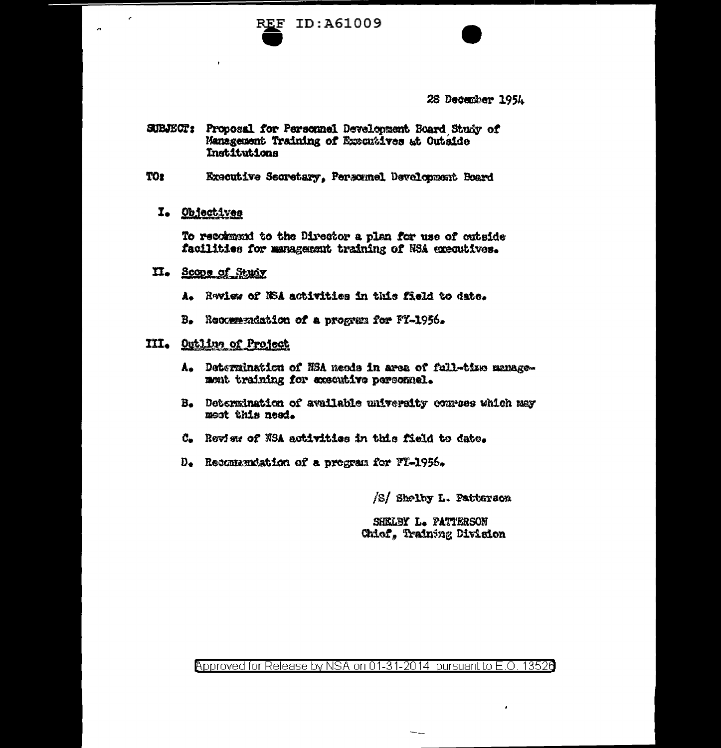



28 December 1954

- SUBJECT: Proposal for Personnel Development Board Study of Management Training of Executives at Outside Institutions
- **TOr** Executive Secretary, Personnel Development Board

## I. Objectives

To recommend to the Director a plan for use of cataide facilities for management training of NSA executives.

## II. Scope of Study

- A. Raview of NSA activities in this field to date.
- B. Recommendation of a progress for FY-1956.

## III. Outling of Project

- A. Determination of NSA needs in area of full-time managemont training for executive personnel.
- B. Determination of available university convees which may meet this need.
- C. Review of NSA activities in this field to date.
- D. Recommendation of a program for FT-1956.

/S/ Shelby L. Patterson

SHELBY L. PATTERSON Chiof, Training Division

Approved for Release by NSA on 01-31-2014 pursuant to E.O. 13526